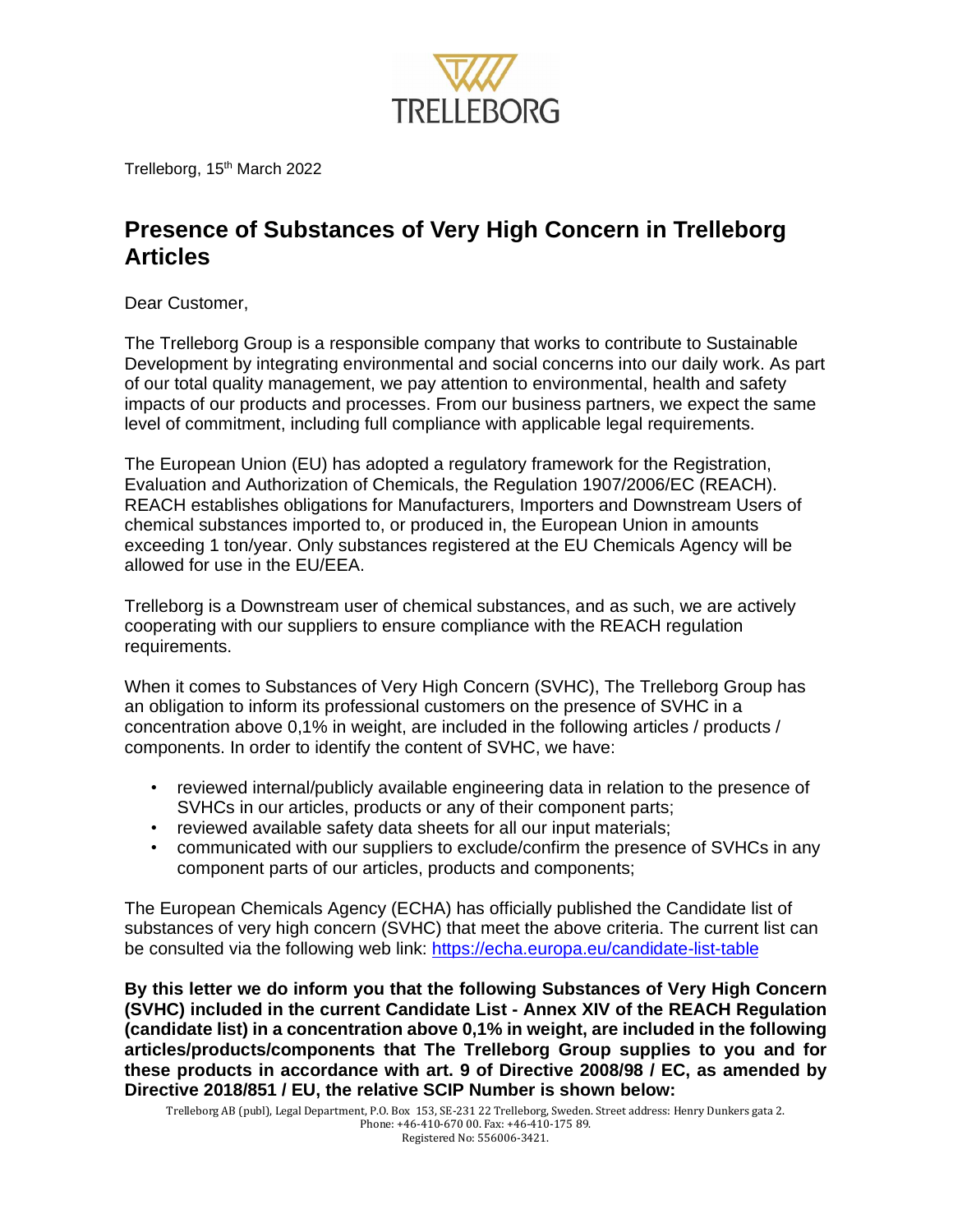

Trelleborg, 15<sup>th</sup> March 2022

## **Presence of Substances of Very High Concern in Trelleborg Articles**

Dear Customer,

The Trelleborg Group is a responsible company that works to contribute to Sustainable Development by integrating environmental and social concerns into our daily work. As part of our total quality management, we pay attention to environmental, health and safety impacts of our products and processes. From our business partners, we expect the same level of commitment, including full compliance with applicable legal requirements.

The European Union (EU) has adopted a regulatory framework for the Registration, Evaluation and Authorization of Chemicals, the Regulation 1907/2006/EC (REACH). REACH establishes obligations for Manufacturers, Importers and Downstream Users of chemical substances imported to, or produced in, the European Union in amounts exceeding 1 ton/year. Only substances registered at the EU Chemicals Agency will be allowed for use in the EU/EEA.

Trelleborg is a Downstream user of chemical substances, and as such, we are actively cooperating with our suppliers to ensure compliance with the REACH regulation requirements.

When it comes to Substances of Very High Concern (SVHC), The Trelleborg Group has an obligation to inform its professional customers on the presence of SVHC in a concentration above 0,1% in weight, are included in the following articles / products / components. In order to identify the content of SVHC, we have: ï

- reviewed internal/publicly available engineering data in relation to the presence of SVHCs in our articles, products orany of their component parts; <sup>ï</sup>SVHCs in our articles, products or any of their component parts; reviewed available safety data sheets for all our input materials;
- 
- communicated with our suppliers to exclude/confirm the presence of SVHCs in any component parts of our articles, products and components;

The European Chemicals Agency (ECHA) has officially published the Candidate list of substances of very high concern (SVHC) that meet the above criteria. The current list can be consulted via the following web link: <https://echa.europa.eu/candidate-list-table>

these products in accordance with art. 9 of Directive 2008/98 / EC, as amended by<br>Directive 2018/851 / EU, the relative SCIP Number is shown below:<br>Trelleborg AB (publ). Legal Department. P.O. Box 153. SE-231 22 Trelleborg **Directive 2018/851 / EU, the relative SCIP Number is shown below:**<br>Trelleborg AB (publ), Legal Department, P.O. Box 153, SE-231 22 Trelleborg, Sweden. Street address: Hen **By this letter we do inform you that the following Substances of Very High Concern (SVHC) included in the current Candidate List - Annex XIV of the REACH Regulation (candidate list) in a concentration above 0,1% in weight, are included in the following articles/products/components that The Trelleborg Group supplies to you and for**